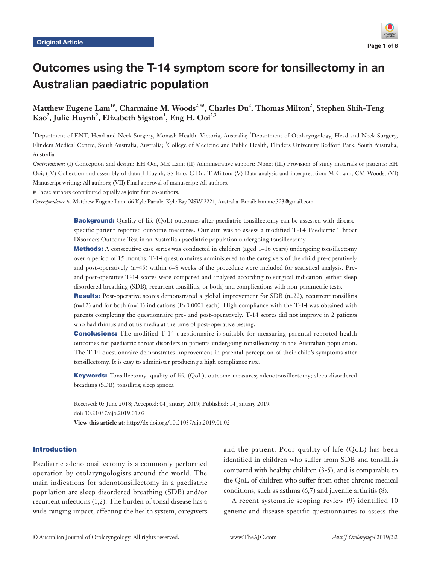

# Outcomes using the T-14 symptom score for tonsillectomy in an Australian paediatric population

 $\mathbf{M}$ atthew Eugene Lam<sup>1#</sup>, Charmaine M. Woods<sup>2,3#</sup>, Charles Du<sup>2</sup>, Thomas Milton<sup>2</sup>, Stephen Shih-Teng  $\text{Kao}^2$ , Julie Huynh<sup>2</sup>, Elizabeth Sigston<sup>1</sup>, Eng H. Ooi<sup>2,3</sup>

1 Department of ENT, Head and Neck Surgery, Monash Health, Victoria, Australia; <sup>2</sup> Department of Otolaryngology, Head and Neck Surgery, Flinders Medical Centre, South Australia, Australia; <sup>3</sup>College of Medicine and Public Health, Flinders University Bedford Park, South Australia, Australia

*Contributions:* (I) Conception and design: EH Ooi, ME Lam; (II) Administrative support: None; (III) Provision of study materials or patients: EH Ooi; (IV) Collection and assembly of data: J Huynh, SS Kao, C Du, T Milton; (V) Data analysis and interpretation: ME Lam, CM Woods; (VI) Manuscript writing: All authors; (VII) Final approval of manuscript: All authors.

#These authors contributed equally as joint first co-authors.

*Correspondence to:* Matthew Eugene Lam. 66 Kyle Parade, Kyle Bay NSW 2221, Australia. Email: lam.me.323@gmail.com.

**Background:** Quality of life (QoL) outcomes after paediatric tonsillectomy can be assessed with diseasespecific patient reported outcome measures. Our aim was to assess a modified T-14 Paediatric Throat Disorders Outcome Test in an Australian paediatric population undergoing tonsillectomy.

**Methods:** A consecutive case series was conducted in children (aged 1–16 years) undergoing tonsillectomy over a period of 15 months. T-14 questionnaires administered to the caregivers of the child pre-operatively and post-operatively (n=45) within 6–8 weeks of the procedure were included for statistical analysis. Preand post-operative T-14 scores were compared and analysed according to surgical indication [either sleep disordered breathing (SDB), recurrent tonsillitis, or both] and complications with non-parametric tests.

**Results:** Post-operative scores demonstrated a global improvement for SDB (n=22), recurrent tonsillitis  $(n=12)$  and for both  $(n=11)$  indications (P<0.0001 each). High compliance with the T-14 was obtained with parents completing the questionnaire pre- and post-operatively. T-14 scores did not improve in 2 patients who had rhinitis and otitis media at the time of post-operative testing.

**Conclusions:** The modified T-14 questionnaire is suitable for measuring parental reported health outcomes for paediatric throat disorders in patients undergoing tonsillectomy in the Australian population. The T-14 questionnaire demonstrates improvement in parental perception of their child's symptoms after tonsillectomy. It is easy to administer producing a high compliance rate.

Keywords: Tonsillectomy; quality of life (QoL); outcome measures; adenotonsillectomy; sleep disordered breathing (SDB); tonsillitis; sleep apnoea

Received: 05 June 2018; Accepted: 04 January 2019; Published: 14 January 2019. doi: 10.21037/ajo.2019.01.02 **View this article at:** http://dx.doi.org/10.21037/ajo.2019.01.02

# Introduction

Paediatric adenotonsillectomy is a commonly performed operation by otolaryngologists around the world. The main indications for adenotonsillectomy in a paediatric population are sleep disordered breathing (SDB) and/or recurrent infections (1,2). The burden of tonsil disease has a wide-ranging impact, affecting the health system, caregivers

and the patient. Poor quality of life (QoL) has been identified in children who suffer from SDB and tonsillitis compared with healthy children (3-5), and is comparable to the QoL of children who suffer from other chronic medical conditions, such as asthma (6,7) and juvenile arthritis (8).

A recent systematic scoping review (9) identified 10 generic and disease-specific questionnaires to assess the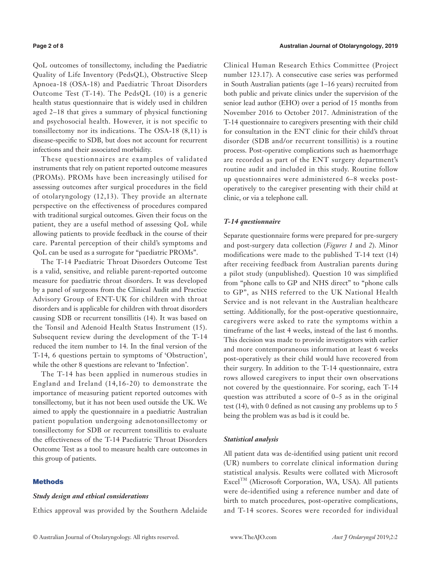QoL outcomes of tonsillectomy, including the Paediatric Quality of Life Inventory (PedsQL), Obstructive Sleep Apnoea-18 (OSA-18) and Paediatric Throat Disorders Outcome Test (T-14). The PedsQL (10) is a generic health status questionnaire that is widely used in children aged 2–18 that gives a summary of physical functioning and psychosocial health. However, it is not specific to tonsillectomy nor its indications. The OSA-18 (8,11) is disease-specific to SDB, but does not account for recurrent infections and their associated morbidity.

These questionnaires are examples of validated instruments that rely on patient reported outcome measures (PROMs). PROMs have been increasingly utilised for assessing outcomes after surgical procedures in the field of otolaryngology (12,13). They provide an alternate perspective on the effectiveness of procedures compared with traditional surgical outcomes. Given their focus on the patient, they are a useful method of assessing QoL while allowing patients to provide feedback in the course of their care. Parental perception of their child's symptoms and QoL can be used as a surrogate for "paediatric PROMs".

The T-14 Paediatric Throat Disorders Outcome Test is a valid, sensitive, and reliable parent-reported outcome measure for paediatric throat disorders. It was developed by a panel of surgeons from the Clinical Audit and Practice Advisory Group of ENT-UK for children with throat disorders and is applicable for children with throat disorders causing SDB or recurrent tonsillitis (14). It was based on the Tonsil and Adenoid Health Status Instrument (15). Subsequent review during the development of the T-14 reduced the item number to 14. In the final version of the T-14, 6 questions pertain to symptoms of 'Obstruction', while the other 8 questions are relevant to 'Infection'.

The T-14 has been applied in numerous studies in England and Ireland (14,16-20) to demonstrate the importance of measuring patient reported outcomes with tonsillectomy, but it has not been used outside the UK. We aimed to apply the questionnaire in a paediatric Australian patient population undergoing adenotonsillectomy or tonsillectomy for SDB or recurrent tonsillitis to evaluate the effectiveness of the T-14 Paediatric Throat Disorders Outcome Test as a tool to measure health care outcomes in this group of patients.

### **Methods**

# *Study design and ethical considerations*

Ethics approval was provided by the Southern Adelaide

Clinical Human Research Ethics Committee (Project number 123.17). A consecutive case series was performed in South Australian patients (age 1–16 years) recruited from both public and private clinics under the supervision of the senior lead author (EHO) over a period of 15 months from November 2016 to October 2017. Administration of the T-14 questionnaire to caregivers presenting with their child for consultation in the ENT clinic for their child's throat disorder (SDB and/or recurrent tonsillitis) is a routine process. Post-operative complications such as haemorrhage are recorded as part of the ENT surgery department's routine audit and included in this study. Routine follow up questionnaires were administered 6–8 weeks postoperatively to the caregiver presenting with their child at clinic, or via a telephone call.

#### *T-14 questionnaire*

Separate questionnaire forms were prepared for pre-surgery and post-surgery data collection (*Figures 1* and *2*). Minor modifications were made to the published T-14 text (14) after receiving feedback from Australian parents during a pilot study (unpublished). Question 10 was simplified from "phone calls to GP and NHS direct" to "phone calls to GP", as NHS referred to the UK National Health Service and is not relevant in the Australian healthcare setting. Additionally, for the post-operative questionnaire, caregivers were asked to rate the symptoms within a timeframe of the last 4 weeks, instead of the last 6 months. This decision was made to provide investigators with earlier and more contemporaneous information at least 6 weeks post-operatively as their child would have recovered from their surgery. In addition to the T-14 questionnaire, extra rows allowed caregivers to input their own observations not covered by the questionnaire. For scoring, each T-14 question was attributed a score of 0–5 as in the original test (14), with 0 defined as not causing any problems up to 5 being the problem was as bad is it could be.

#### *Statistical analysis*

All patient data was de-identified using patient unit record (UR) numbers to correlate clinical information during statistical analysis. Results were collated with Microsoft Excel<sup>TM</sup> (Microsoft Corporation, WA, USA). All patients were de-identified using a reference number and date of birth to match procedures, post-operative complications, and T-14 scores. Scores were recorded for individual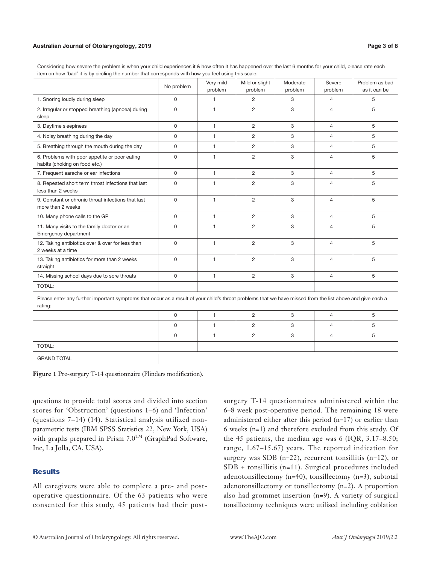#### **Australian Journal of Otolaryngology, 2019 Page 3 of 8**

| <u>onod</u> over the last officially for your ormal product rate<br>item on how 'bad' it is by circling the number that corresponds with how you feel using this scale: |              |                      |                           |                     |                   |                                |  |
|-------------------------------------------------------------------------------------------------------------------------------------------------------------------------|--------------|----------------------|---------------------------|---------------------|-------------------|--------------------------------|--|
|                                                                                                                                                                         | No problem   | Very mild<br>problem | Mild or slight<br>problem | Moderate<br>problem | Severe<br>problem | Problem as bad<br>as it can be |  |
| 1. Snoring loudly during sleep                                                                                                                                          | 0            | $\mathbf{1}$         | $\overline{2}$            | 3                   | $\overline{4}$    | 5                              |  |
| 2. Irregular or stopped breathing (apnoea) during<br>sleep                                                                                                              | $\mathsf{O}$ | $\mathbf{1}$         | $\overline{2}$            | 3                   | $\overline{4}$    | 5                              |  |
| 3. Daytime sleepiness                                                                                                                                                   | 0            | $\mathbf{1}$         | $\overline{2}$            | 3                   | $\overline{4}$    | 5                              |  |
| 4. Noisy breathing during the day                                                                                                                                       | 0            | $\mathbf{1}$         | $\overline{2}$            | 3                   | $\overline{4}$    | 5                              |  |
| 5. Breathing through the mouth during the day                                                                                                                           | 0            | $\mathbf{1}$         | $\overline{2}$            | 3                   | $\overline{4}$    | 5                              |  |
| 6. Problems with poor appetite or poor eating<br>habits (choking on food etc.)                                                                                          | 0            | $\mathbf{1}$         | $\overline{c}$            | 3                   | $\overline{4}$    | 5                              |  |
| 7. Frequent earache or ear infections                                                                                                                                   | 0            | $\mathbf{1}$         | $\overline{2}$            | 3                   | $\overline{4}$    | 5                              |  |
| 8. Repeated short term throat infections that last<br>less than 2 weeks                                                                                                 | 0            | $\mathbf{1}$         | $\overline{c}$            | 3                   | $\overline{4}$    | 5                              |  |
| 9. Constant or chronic throat infections that last<br>more than 2 weeks                                                                                                 | 0            | $\mathbf{1}$         | $\overline{2}$            | 3                   | $\overline{4}$    | 5                              |  |
| 10. Many phone calls to the GP                                                                                                                                          | 0            | $\mathbf{1}$         | $\overline{2}$            | 3                   | $\overline{4}$    | 5                              |  |
| 11. Many visits to the family doctor or an<br>Emergency department                                                                                                      | 0            | $\mathbf{1}$         | $\overline{c}$            | 3                   | $\overline{4}$    | 5                              |  |
| 12. Taking antibiotics over & over for less than<br>2 weeks at a time                                                                                                   | 0            | $\mathbf{1}$         | $\overline{c}$            | 3                   | $\overline{4}$    | 5                              |  |
| 13. Taking antibiotics for more than 2 weeks<br>straight                                                                                                                | 0            | $\mathbf{1}$         | $\overline{2}$            | 3                   | $\overline{4}$    | 5                              |  |
| 14. Missing school days due to sore throats                                                                                                                             | $\Omega$     | $\mathbf{1}$         | $\overline{2}$            | 3                   | $\overline{4}$    | 5                              |  |
| TOTAL:                                                                                                                                                                  |              |                      |                           |                     |                   |                                |  |
| Please enter any further important symptoms that occur as a result of your child's throat problems that we have missed from the list above and give each a<br>rating:   |              |                      |                           |                     |                   |                                |  |
|                                                                                                                                                                         | 0            | 1                    | 2                         | 3                   | $\overline{4}$    | 5                              |  |
|                                                                                                                                                                         | $\Omega$     | $\mathbf{1}$         | $\overline{2}$            | 3                   | $\overline{4}$    | 5                              |  |
|                                                                                                                                                                         | 0            | $\mathbf{1}$         | $\overline{2}$            | 3                   | $\overline{4}$    | 5                              |  |
| <b>TOTAL:</b>                                                                                                                                                           |              |                      |                           |                     |                   |                                |  |
| <b>GRAND TOTAL</b>                                                                                                                                                      |              |                      |                           |                     |                   |                                |  |

Considering how severe the problem is when your child experiences it & how often it has happened over the last 6 months for your child, please rate each

**Figure 1** Pre-surgery T-14 questionnaire (Flinders modification).

questions to provide total scores and divided into section scores for 'Obstruction' (questions 1–6) and 'Infection' (questions 7–14) (14). Statistical analysis utilized nonparametric tests (IBM SPSS Statistics 22, New York, USA) with graphs prepared in Prism  $7.0^{TM}$  (GraphPad Software, Inc, La Jolla, CA, USA).

# **Results**

All caregivers were able to complete a pre- and postoperative questionnaire. Of the 63 patients who were consented for this study, 45 patients had their postsurgery T-14 questionnaires administered within the 6–8 week post-operative period. The remaining 18 were administered either after this period (n=17) or earlier than 6 weeks (n=1) and therefore excluded from this study. Of the 45 patients, the median age was 6 (IQR, 3.17–8.50; range, 1.67–15.67) years. The reported indication for surgery was SDB (n=22), recurrent tonsillitis (n=12), or SDB + tonsillitis (n=11). Surgical procedures included adenotonsillectomy (n=40), tonsillectomy (n=3), subtotal adenotonsillectomy or tonsillectomy (n=2). A proportion also had grommet insertion (n=9). A variety of surgical tonsillectomy techniques were utilised including coblation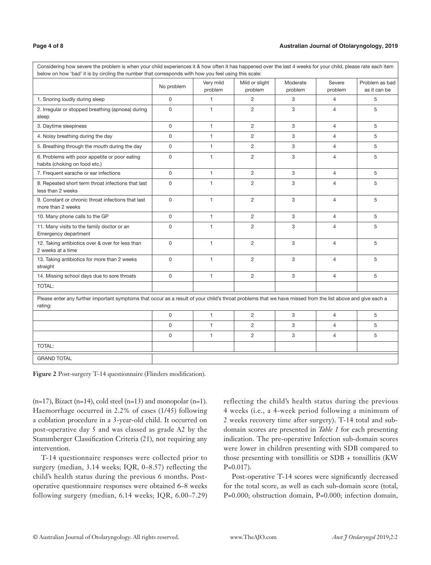# **Page 4 of 8 Australian Journal of Otolaryngology, 2019**

| Considering how severe the problem is when your child experiences it & how often it has happened over the last 4 weeks for your child, please rate each item<br>below on how 'bad' it is by circling the number that corresponds with how you feel using this scale: |             |                      |                           |                     |                   |                                |  |
|----------------------------------------------------------------------------------------------------------------------------------------------------------------------------------------------------------------------------------------------------------------------|-------------|----------------------|---------------------------|---------------------|-------------------|--------------------------------|--|
|                                                                                                                                                                                                                                                                      | No problem  | Very mild<br>problem | Mild or slight<br>problem | Moderate<br>problem | Severe<br>problem | Problem as bad<br>as it can be |  |
| 1. Snoring loudly during sleep                                                                                                                                                                                                                                       | $\mathbf 0$ | 1                    | $\overline{c}$            | 3                   | 4                 | 5                              |  |
| 2. Irregular or stopped breathing (apnoea) during<br>sleep                                                                                                                                                                                                           | $\Omega$    | $\mathbf{1}$         | $\overline{2}$            | 3                   | $\overline{4}$    | 5                              |  |
| 3. Daytime sleepiness                                                                                                                                                                                                                                                | $\Omega$    | $\mathbf{1}$         | 2                         | 3                   | $\overline{4}$    | 5                              |  |
| 4. Noisy breathing during the day                                                                                                                                                                                                                                    | $\mathbf 0$ | $\mathbf{1}$         | $\overline{c}$            | 3                   | $\overline{4}$    | 5                              |  |
| 5. Breathing through the mouth during the day                                                                                                                                                                                                                        | $\mathbf 0$ | $\mathbf{1}$         | $\overline{2}$            | 3                   | $\overline{4}$    | 5                              |  |
| 6. Problems with poor appetite or poor eating<br>habits (choking on food etc.)                                                                                                                                                                                       | $\mathbf 0$ | $\mathbf{1}$         | $\overline{2}$            | 3                   | $\overline{4}$    | 5                              |  |
| 7. Frequent earache or ear infections                                                                                                                                                                                                                                | $\mathsf 0$ | 1                    | $\overline{2}$            | 3                   | $\overline{4}$    | 5                              |  |
| 8. Repeated short term throat infections that last<br>less than 2 weeks                                                                                                                                                                                              | $\mathbf 0$ | 1                    | $\overline{2}$            | 3                   | $\overline{4}$    | 5                              |  |
| 9. Constant or chronic throat infections that last<br>more than 2 weeks                                                                                                                                                                                              | $\mathsf 0$ | 1                    | $\overline{2}$            | 3                   | $\overline{4}$    | 5                              |  |
| 10. Many phone calls to the GP                                                                                                                                                                                                                                       | $\mathsf 0$ | $\mathbf{1}$         | $\overline{2}$            | 3                   | $\overline{4}$    | 5                              |  |
| 11. Many visits to the family doctor or an<br>Emergency department                                                                                                                                                                                                   | $\mathbf 0$ | $\mathbf{1}$         | $\overline{2}$            | 3                   | $\overline{4}$    | 5                              |  |
| 12. Taking antibiotics over & over for less than<br>2 weeks at a time                                                                                                                                                                                                | $\Omega$    | $\mathbf{1}$         | $\overline{2}$            | 3                   | $\overline{4}$    | 5                              |  |
| 13. Taking antibiotics for more than 2 weeks<br>straight                                                                                                                                                                                                             | $\Omega$    | 1                    | $\overline{2}$            | 3                   | $\overline{4}$    | 5                              |  |
| 14. Missing school days due to sore throats                                                                                                                                                                                                                          | $\mathbf 0$ | $\mathbf{1}$         | $\overline{2}$            | 3                   | $\overline{4}$    | 5                              |  |
| TOTAL:                                                                                                                                                                                                                                                               |             |                      |                           |                     |                   |                                |  |
| Please enter any further important symptoms that occur as a result of your child's throat problems that we have missed from the list above and give each a<br>rating:                                                                                                |             |                      |                           |                     |                   |                                |  |
|                                                                                                                                                                                                                                                                      | $\mathbf 0$ | $\mathbf{1}$         | $\overline{2}$            | 3                   | $\overline{4}$    | 5                              |  |
|                                                                                                                                                                                                                                                                      | $\mathbf 0$ | $\mathbf{1}$         | $\overline{2}$            | 3                   | $\overline{4}$    | 5                              |  |
|                                                                                                                                                                                                                                                                      | $\mathbf 0$ | $\mathbf{1}$         | $\overline{2}$            | 3                   | $\overline{4}$    | 5                              |  |
| <b>TOTAL:</b>                                                                                                                                                                                                                                                        |             |                      |                           |                     |                   |                                |  |
| <b>GRAND TOTAL</b>                                                                                                                                                                                                                                                   |             |                      |                           |                     |                   |                                |  |

**Figure 2** Post-surgery T-14 questionnaire (Flinders modification).

 $(n=17)$ , Bizact  $(n=14)$ , cold steel  $(n=13)$  and monopolar  $(n=1)$ . Haemorrhage occurred in 2.2% of cases (1/45) following a coblation procedure in a 3-year-old child. It occurred on post-operative day 5 and was classed as grade A2 by the Stammberger Classification Criteria (21), not requiring any intervention.

T-14 questionnaire responses were collected prior to surgery (median, 3.14 weeks; IQR, 0–8.57) reflecting the child's health status during the previous 6 months. Postoperative questionnaire responses were obtained 6–8 weeks following surgery (median, 6.14 weeks; IQR, 6.00–7.29) reflecting the child's health status during the previous 4 weeks (i.e., a 4-week period following a minimum of 2 weeks recovery time after surgery). T-14 total and subdomain scores are presented in *Table 1* for each presenting indication. The pre-operative Infection sub-domain scores were lower in children presenting with SDB compared to those presenting with tonsillitis or SDB + tonsillitis (KW  $P=0.017$ ).

Post-operative T-14 scores were significantly decreased for the total score, as well as each sub-domain score (total, P=0.000; obstruction domain, P=0.000; infection domain,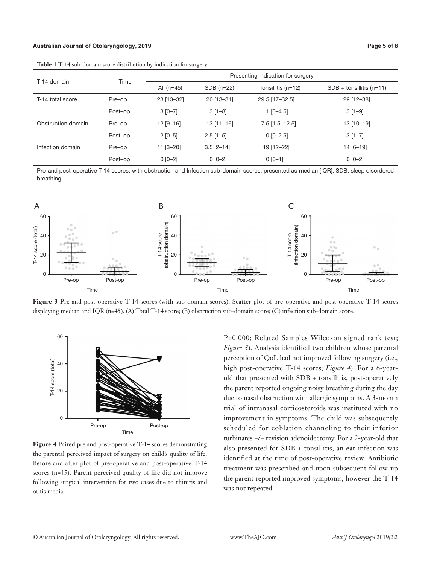#### **Australian Journal of Otolaryngology, 2019 Page 5 of 8**

**Table 1** T-14 sub-domain score distribution by indication for surgery

| T-14 domain        | Time    |              | Presenting indication for surgery |                    |                            |  |  |
|--------------------|---------|--------------|-----------------------------------|--------------------|----------------------------|--|--|
|                    |         | All $(n=45)$ | $SDB(n=22)$                       | Tonsillitis (n=12) | $SDB +$ tonsillitis (n=11) |  |  |
| T-14 total score   | Pre-op  | 23 [13-32]   | 20 [13-31]                        | 29.5 [17-32.5]     | 29 [12-38]                 |  |  |
|                    | Post-op | $3 [0 - 7]$  | $3[1-8]$                          | $1$ [0-4.5]        | $3[1-9]$                   |  |  |
| Obstruction domain | Pre-op  | $12$ [9-16]  | $13$ [11-16]                      | $7.5$ [1.5-12.5]   | 13 [10-19]                 |  |  |
|                    | Post-op | $2 [0 - 5]$  | $2.5$ [1-5]                       | $0$ [0-2.5]        | $3[1-7]$                   |  |  |
| Infection domain   | Pre-op  | $11$ [3-20]  | $3.5$ [2-14]                      | 19 [12-22]         | 14 [6-19]                  |  |  |
|                    | Post-op | $0 [0-2]$    | $0 [0-2]$                         | $0 [0 - 1]$        | $0 [0 - 2]$                |  |  |

Pre-and post-operative T-14 scores, with obstruction and Infection sub-domain scores, presented as median [IQR]. SDB, sleep disordered breathing.



**Figure 3** Pre and post-operative T-14 scores (with sub-domain scores). Scatter plot of pre-operative and post-operative T-14 scores displaying median and IQR (n=45). (A) Total T-14 score; (B) obstruction sub-domain score; (C) infection sub-domain score.



**Figure 4** Paired pre and post-operative T-14 scores demonstrating the parental perceived impact of surgery on child's quality of life. Before and after plot of pre-operative and post-operative T-14 scores (n=45). Parent perceived quality of life did not improve following surgical intervention for two cases due to rhinitis and otitis media.

P=0.000; Related Samples Wilcoxon signed rank test; *Figure 3*). Analysis identified two children whose parental perception of QoL had not improved following surgery (i.e., high post-operative T-14 scores; *Figure 4*). For a 6-yearold that presented with SDB + tonsillitis, post-operatively the parent reported ongoing noisy breathing during the day due to nasal obstruction with allergic symptoms. A 3-month trial of intranasal corticosteroids was instituted with no improvement in symptoms. The child was subsequently scheduled for coblation channeling to their inferior turbinates +/− revision adenoidectomy. For a 2-year-old that also presented for SDB + tonsillitis, an ear infection was identified at the time of post-operative review. Antibiotic treatment was prescribed and upon subsequent follow-up the parent reported improved symptoms, however the T-14 was not repeated.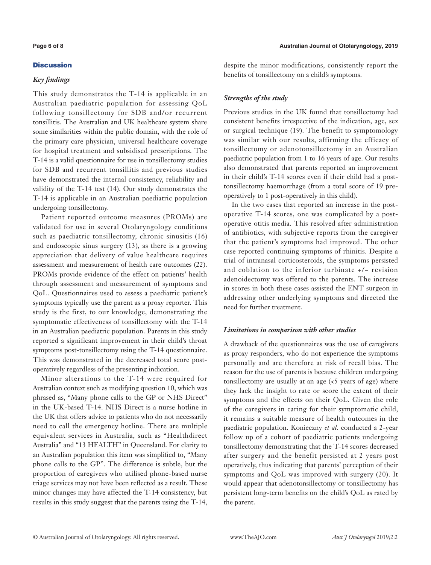# Discussion

# *Key findings*

This study demonstrates the T-14 is applicable in an Australian paediatric population for assessing QoL following tonsillectomy for SDB and/or recurrent tonsillitis. The Australian and UK healthcare system share some similarities within the public domain, with the role of the primary care physician, universal healthcare coverage for hospital treatment and subsidised prescriptions. The T-14 is a valid questionnaire for use in tonsillectomy studies for SDB and recurrent tonsillitis and previous studies have demonstrated the internal consistency, reliability and validity of the T-14 test (14). Our study demonstrates the T-14 is applicable in an Australian paediatric population undergoing tonsillectomy.

Patient reported outcome measures (PROMs) are validated for use in several Otolaryngology conditions such as paediatric tonsillectomy, chronic sinusitis (16) and endoscopic sinus surgery (13), as there is a growing appreciation that delivery of value healthcare requires assessment and measurement of health care outcomes (22). PROMs provide evidence of the effect on patients' health through assessment and measurement of symptoms and QoL. Questionnaires used to assess a paediatric patient's symptoms typically use the parent as a proxy reporter. This study is the first, to our knowledge, demonstrating the symptomatic effectiveness of tonsillectomy with the T-14 in an Australian paediatric population. Parents in this study reported a significant improvement in their child's throat symptoms post-tonsillectomy using the T-14 questionnaire. This was demonstrated in the decreased total score postoperatively regardless of the presenting indication.

Minor alterations to the T-14 were required for Australian context such as modifying question 10, which was phrased as, "Many phone calls to the GP or NHS Direct" in the UK-based T-14. NHS Direct is a nurse hotline in the UK that offers advice to patients who do not necessarily need to call the emergency hotline. There are multiple equivalent services in Australia, such as "Healthdirect Australia" and "13 HEALTH" in Queensland. For clarity to an Australian population this item was simplified to, "Many phone calls to the GP". The difference is subtle, but the proportion of caregivers who utilised phone-based nurse triage services may not have been reflected as a result. These minor changes may have affected the T-14 consistency, but results in this study suggest that the parents using the T-14, despite the minor modifications, consistently report the benefits of tonsillectomy on a child's symptoms.

# *Strengths of the study*

Previous studies in the UK found that tonsillectomy had consistent benefits irrespective of the indication, age, sex or surgical technique (19). The benefit to symptomology was similar with our results, affirming the efficacy of tonsillectomy or adenotonsillectomy in an Australian paediatric population from 1 to 16 years of age. Our results also demonstrated that parents reported an improvement in their child's T-14 scores even if their child had a posttonsillectomy haemorrhage (from a total score of 19 preoperatively to 1 post-operatively in this child).

In the two cases that reported an increase in the postoperative T-14 scores, one was complicated by a postoperative otitis media. This resolved after administration of antibiotics, with subjective reports from the caregiver that the patient's symptoms had improved. The other case reported continuing symptoms of rhinitis. Despite a trial of intranasal corticosteroids, the symptoms persisted and coblation to the inferior turbinate +/− revision adenoidectomy was offered to the parents. The increase in scores in both these cases assisted the ENT surgeon in addressing other underlying symptoms and directed the need for further treatment.

# *Limitations in comparison with other studies*

A drawback of the questionnaires was the use of caregivers as proxy responders, who do not experience the symptoms personally and are therefore at risk of recall bias. The reason for the use of parents is because children undergoing tonsillectomy are usually at an age  $\langle$  <5 years of age) where they lack the insight to rate or score the extent of their symptoms and the effects on their QoL. Given the role of the caregivers in caring for their symptomatic child, it remains a suitable measure of health outcomes in the paediatric population. Konieczny *et al.* conducted a 2-year follow up of a cohort of paediatric patients undergoing tonsillectomy demonstrating that the T-14 scores decreased after surgery and the benefit persisted at 2 years post operatively, thus indicating that parents' perception of their symptoms and QoL was improved with surgery (20). It would appear that adenotonsillectomy or tonsillectomy has persistent long-term benefits on the child's QoL as rated by the parent.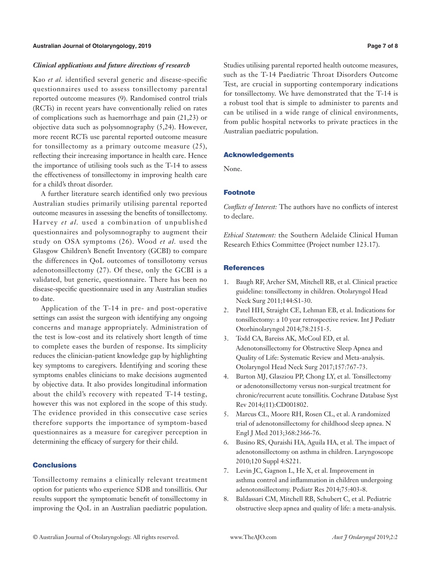### *Clinical applications and future directions of research*

Kao *et al.* identified several generic and disease-specific questionnaires used to assess tonsillectomy parental reported outcome measures (9). Randomised control trials (RCTs) in recent years have conventionally relied on rates of complications such as haemorrhage and pain (21,23) or objective data such as polysomnography (5,24). However, more recent RCTs use parental reported outcome measure for tonsillectomy as a primary outcome measure (25), reflecting their increasing importance in health care. Hence the importance of utilising tools such as the T-14 to assess the effectiveness of tonsillectomy in improving health care for a child's throat disorder.

A further literature search identified only two previous Australian studies primarily utilising parental reported outcome measures in assessing the benefits of tonsillectomy. Harvey *et al.* used a combination of unpublished questionnaires and polysomnography to augment their study on OSA symptoms (26). Wood *et al.* used the Glasgow Children's Benefit Inventory (GCBI) to compare the differences in QoL outcomes of tonsillotomy versus adenotonsillectomy (27). Of these, only the GCBI is a validated, but generic, questionnaire. There has been no disease-specific questionnaire used in any Australian studies to date.

Application of the T-14 in pre- and post-operative settings can assist the surgeon with identifying any ongoing concerns and manage appropriately. Administration of the test is low-cost and its relatively short length of time to complete eases the burden of response. Its simplicity reduces the clinician-patient knowledge gap by highlighting key symptoms to caregivers. Identifying and scoring these symptoms enables clinicians to make decisions augmented by objective data. It also provides longitudinal information about the child's recovery with repeated T-14 testing, however this was not explored in the scope of this study. The evidence provided in this consecutive case series therefore supports the importance of symptom-based questionnaires as a measure for caregiver perception in determining the efficacy of surgery for their child.

### **Conclusions**

Tonsillectomy remains a clinically relevant treatment option for patients who experience SDB and tonsillitis. Our results support the symptomatic benefit of tonsillectomy in improving the QoL in an Australian paediatric population.

Studies utilising parental reported health outcome measures, such as the T-14 Paediatric Throat Disorders Outcome Test, are crucial in supporting contemporary indications for tonsillectomy. We have demonstrated that the T-14 is a robust tool that is simple to administer to parents and can be utilised in a wide range of clinical environments, from public hospital networks to private practices in the Australian paediatric population.

### Acknowledgements

None.

# Footnote

*Conflicts of Interest:* The authors have no conflicts of interest to declare.

*Ethical Statement:* the Southern Adelaide Clinical Human Research Ethics Committee (Project number 123.17).

# **References**

- 1. Baugh RF, Archer SM, Mitchell RB, et al. Clinical practice guideline: tonsillectomy in children. Otolaryngol Head Neck Surg 2011;144:S1-30.
- 2. Patel HH, Straight CE, Lehman EB, et al. Indications for tonsillectomy: a 10 year retrospective review. Int J Pediatr Otorhinolaryngol 2014;78:2151-5.
- 3. Todd CA, Bareiss AK, McCoul ED, et al. Adenotonsillectomy for Obstructive Sleep Apnea and Quality of Life: Systematic Review and Meta-analysis. Otolaryngol Head Neck Surg 2017;157:767-73.
- 4. Burton MJ, Glasziou PP, Chong LY, et al. Tonsillectomy or adenotonsillectomy versus non-surgical treatment for chronic/recurrent acute tonsillitis. Cochrane Database Syst Rev 2014;(11):CD001802.
- 5. Marcus CL, Moore RH, Rosen CL, et al. A randomized trial of adenotonsillectomy for childhood sleep apnea. N Engl J Med 2013;368:2366-76.
- 6. Busino RS, Quraishi HA, Aguila HA, et al. The impact of adenotonsillectomy on asthma in children. Laryngoscope 2010;120 Suppl 4:S221.
- 7. Levin JC, Gagnon L, He X, et al. Improvement in asthma control and inflammation in children undergoing adenotonsillectomy. Pediatr Res 2014;75:403-8.
- 8. Baldassari CM, Mitchell RB, Schubert C, et al. Pediatric obstructive sleep apnea and quality of life: a meta-analysis.